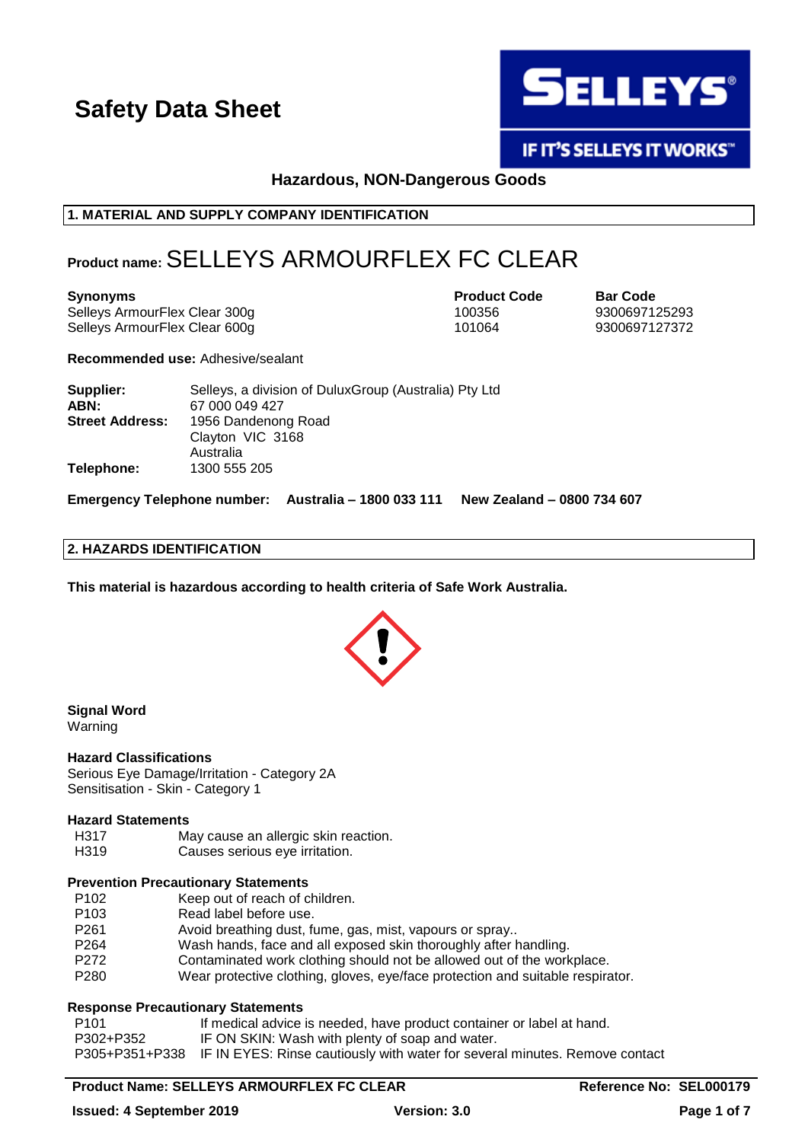

**IF IT'S SELLEYS IT WORKS"** 

**Hazardous, NON-Dangerous Goods**

# **1. MATERIAL AND SUPPLY COMPANY IDENTIFICATION**

# **Product name:**SELLEYS ARMOURFLEX FC CLEAR

Selleys ArmourFlex Clear 300g 100356 100356 9300697125293 Selleys ArmourFlex Clear 600g 101064 9300697127372

**Synonyms Product Code Bar Code**

**Recommended use:** Adhesive/sealant

| Supplier:              | Selleys, a division of Dulux Group (Australia) Pty Ltd |
|------------------------|--------------------------------------------------------|
| ABN:                   | 67 000 049 427                                         |
| <b>Street Address:</b> | 1956 Dandenong Road                                    |
|                        | Clayton VIC 3168                                       |
|                        | Australia                                              |
| Telephone:             | 1300 555 205                                           |

**Emergency Telephone number: Australia – 1800 033 111 New Zealand – 0800 734 607**

## **2. HAZARDS IDENTIFICATION**

**This material is hazardous according to health criteria of Safe Work Australia.**



#### **Signal Word** Warning

#### **Hazard Classifications**

Serious Eye Damage/Irritation - Category 2A Sensitisation - Skin - Category 1

#### **Hazard Statements**

- H317 May cause an allergic skin reaction.
- H319 Causes serious eye irritation.

# **Prevention Precautionary Statements**

- P102 Keep out of reach of children.
- P103 Read label before use.
- P261 Avoid breathing dust, fume, gas, mist, vapours or spray..
- P264 Wash hands, face and all exposed skin thoroughly after handling.
- P272 Contaminated work clothing should not be allowed out of the workplace.
- P280 Wear protective clothing, gloves, eye/face protection and suitable respirator.

# **Response Precautionary Statements**

| P101      | If medical advice is needed, have product container or label at hand.                      |
|-----------|--------------------------------------------------------------------------------------------|
| P302+P352 | IF ON SKIN: Wash with plenty of soap and water.                                            |
|           | P305+P351+P338 IF IN EYES: Rinse cautiously with water for several minutes. Remove contact |

# **Product Name: SELLEYS ARMOURFLEX FC CLEAR <b>Reference No: SEL000179**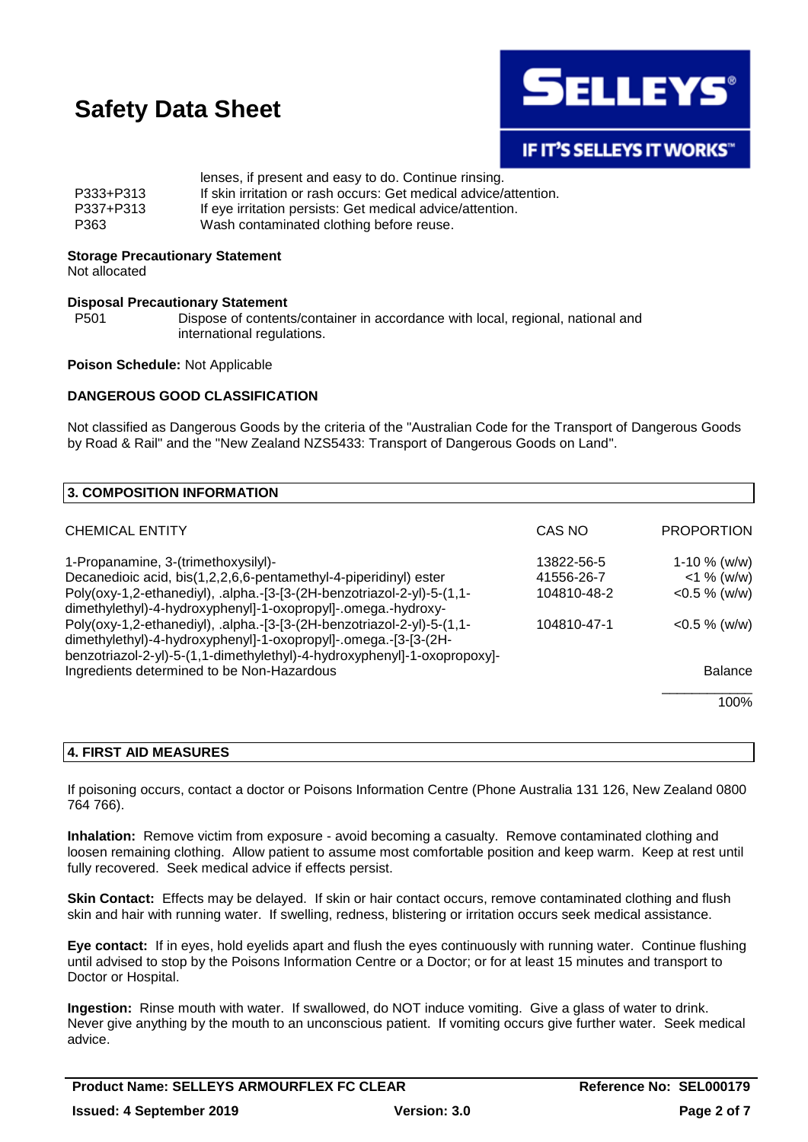

# **IF IT'S SELLEYS IT WORKS"**

|           | lenses, if present and easy to do. Continue rinsing.             |
|-----------|------------------------------------------------------------------|
| P333+P313 | If skin irritation or rash occurs: Get medical advice/attention. |
| P337+P313 | If eye irritation persists: Get medical advice/attention.        |
| P363      | Wash contaminated clothing before reuse.                         |

#### **Storage Precautionary Statement**

Not allocated

### **Disposal Precautionary Statement**

P501 Dispose of contents/container in accordance with local, regional, national and international regulations.

#### **Poison Schedule:** Not Applicable

#### **DANGEROUS GOOD CLASSIFICATION**

Not classified as Dangerous Goods by the criteria of the "Australian Code for the Transport of Dangerous Goods by Road & Rail" and the "New Zealand NZS5433: Transport of Dangerous Goods on Land".

| 3. COMPOSITION INFORMATION                                                                                                                                                                                            |             |                   |
|-----------------------------------------------------------------------------------------------------------------------------------------------------------------------------------------------------------------------|-------------|-------------------|
| <b>CHEMICAL ENTITY</b>                                                                                                                                                                                                | CAS NO      | <b>PROPORTION</b> |
| 1-Propanamine, 3-(trimethoxysilyl)-                                                                                                                                                                                   | 13822-56-5  | $1-10 \%$ (w/w)   |
| Decanedioic acid, bis(1,2,2,6,6-pentamethyl-4-piperidinyl) ester                                                                                                                                                      | 41556-26-7  | $<$ 1 % (w/w)     |
| Poly(oxy-1,2-ethanediyl), .alpha.-[3-[3-(2H-benzotriazol-2-yl)-5-(1,1-<br>dimethylethyl)-4-hydroxyphenyl]-1-oxopropyl]-.omega.-hydroxy-                                                                               | 104810-48-2 | $<$ 0.5 % (w/w)   |
| Poly(oxy-1,2-ethanediyl), .alpha.-[3-[3-(2H-benzotriazol-2-yl)-5-(1,1-<br>dimethylethyl)-4-hydroxyphenyl]-1-oxopropyl]-.omega.-[3-[3-(2H-<br>benzotriazol-2-yl)-5-(1,1-dimethylethyl)-4-hydroxyphenyl]-1-oxopropoxy]- | 104810-47-1 | $<$ 0.5 % (w/w)   |
| Ingredients determined to be Non-Hazardous                                                                                                                                                                            |             | <b>Balance</b>    |
|                                                                                                                                                                                                                       |             | 100%              |

# **4. FIRST AID MEASURES**

If poisoning occurs, contact a doctor or Poisons Information Centre (Phone Australia 131 126, New Zealand 0800 764 766).

**Inhalation:** Remove victim from exposure - avoid becoming a casualty. Remove contaminated clothing and loosen remaining clothing. Allow patient to assume most comfortable position and keep warm. Keep at rest until fully recovered. Seek medical advice if effects persist.

**Skin Contact:** Effects may be delayed. If skin or hair contact occurs, remove contaminated clothing and flush skin and hair with running water. If swelling, redness, blistering or irritation occurs seek medical assistance.

**Eye contact:** If in eyes, hold eyelids apart and flush the eyes continuously with running water. Continue flushing until advised to stop by the Poisons Information Centre or a Doctor; or for at least 15 minutes and transport to Doctor or Hospital.

**Ingestion:** Rinse mouth with water. If swallowed, do NOT induce vomiting. Give a glass of water to drink. Never give anything by the mouth to an unconscious patient. If vomiting occurs give further water. Seek medical advice.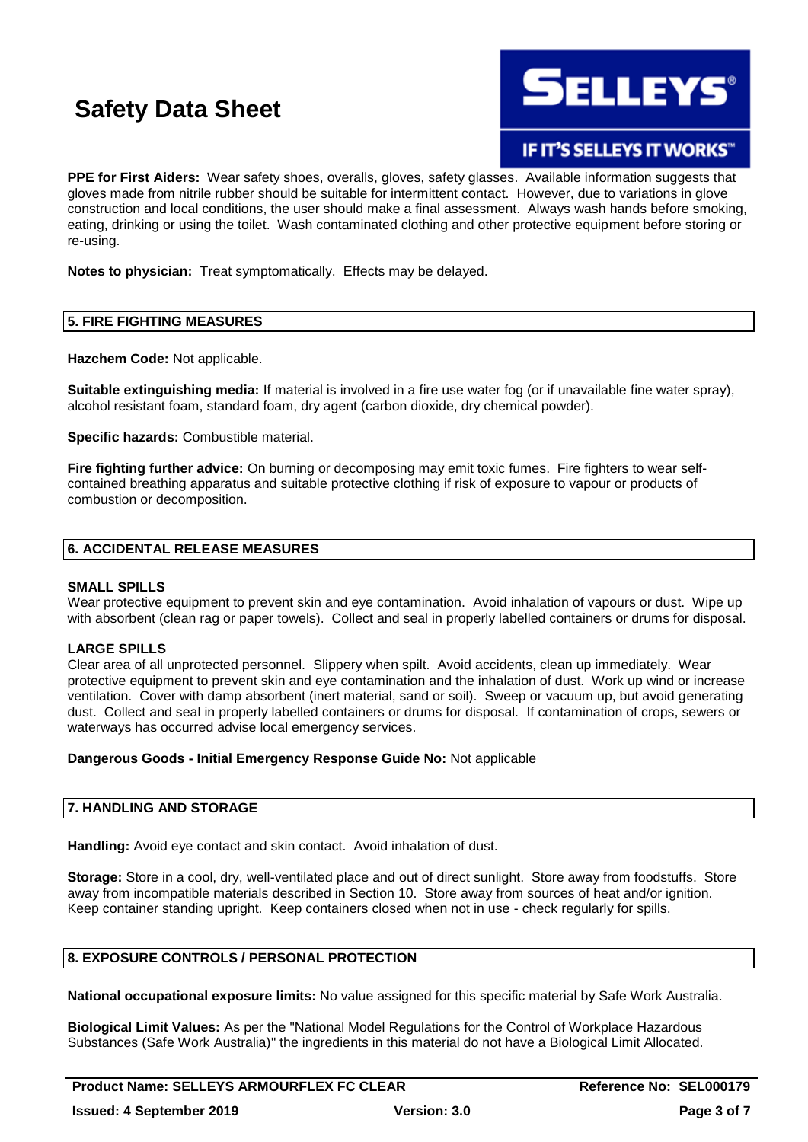

IF IT'S SELLEYS IT WORKS"

**PPE for First Aiders:** Wear safety shoes, overalls, gloves, safety glasses. Available information suggests that gloves made from nitrile rubber should be suitable for intermittent contact. However, due to variations in glove construction and local conditions, the user should make a final assessment. Always wash hands before smoking, eating, drinking or using the toilet. Wash contaminated clothing and other protective equipment before storing or re-using.

**Notes to physician:** Treat symptomatically. Effects may be delayed.

# **5. FIRE FIGHTING MEASURES**

**Hazchem Code:** Not applicable.

**Suitable extinguishing media:** If material is involved in a fire use water fog (or if unavailable fine water spray), alcohol resistant foam, standard foam, dry agent (carbon dioxide, dry chemical powder).

**Specific hazards:** Combustible material.

**Fire fighting further advice:** On burning or decomposing may emit toxic fumes. Fire fighters to wear selfcontained breathing apparatus and suitable protective clothing if risk of exposure to vapour or products of combustion or decomposition.

# **6. ACCIDENTAL RELEASE MEASURES**

### **SMALL SPILLS**

Wear protective equipment to prevent skin and eve contamination. Avoid inhalation of vapours or dust. Wipe up with absorbent (clean rag or paper towels). Collect and seal in properly labelled containers or drums for disposal.

### **LARGE SPILLS**

Clear area of all unprotected personnel. Slippery when spilt. Avoid accidents, clean up immediately. Wear protective equipment to prevent skin and eye contamination and the inhalation of dust. Work up wind or increase ventilation. Cover with damp absorbent (inert material, sand or soil). Sweep or vacuum up, but avoid generating dust. Collect and seal in properly labelled containers or drums for disposal. If contamination of crops, sewers or waterways has occurred advise local emergency services.

### **Dangerous Goods - Initial Emergency Response Guide No:** Not applicable

# **7. HANDLING AND STORAGE**

**Handling:** Avoid eye contact and skin contact. Avoid inhalation of dust.

**Storage:** Store in a cool, dry, well-ventilated place and out of direct sunlight. Store away from foodstuffs. Store away from incompatible materials described in Section 10. Store away from sources of heat and/or ignition. Keep container standing upright. Keep containers closed when not in use - check regularly for spills.

# **8. EXPOSURE CONTROLS / PERSONAL PROTECTION**

**National occupational exposure limits:** No value assigned for this specific material by Safe Work Australia.

**Biological Limit Values:** As per the "National Model Regulations for the Control of Workplace Hazardous Substances (Safe Work Australia)" the ingredients in this material do not have a Biological Limit Allocated.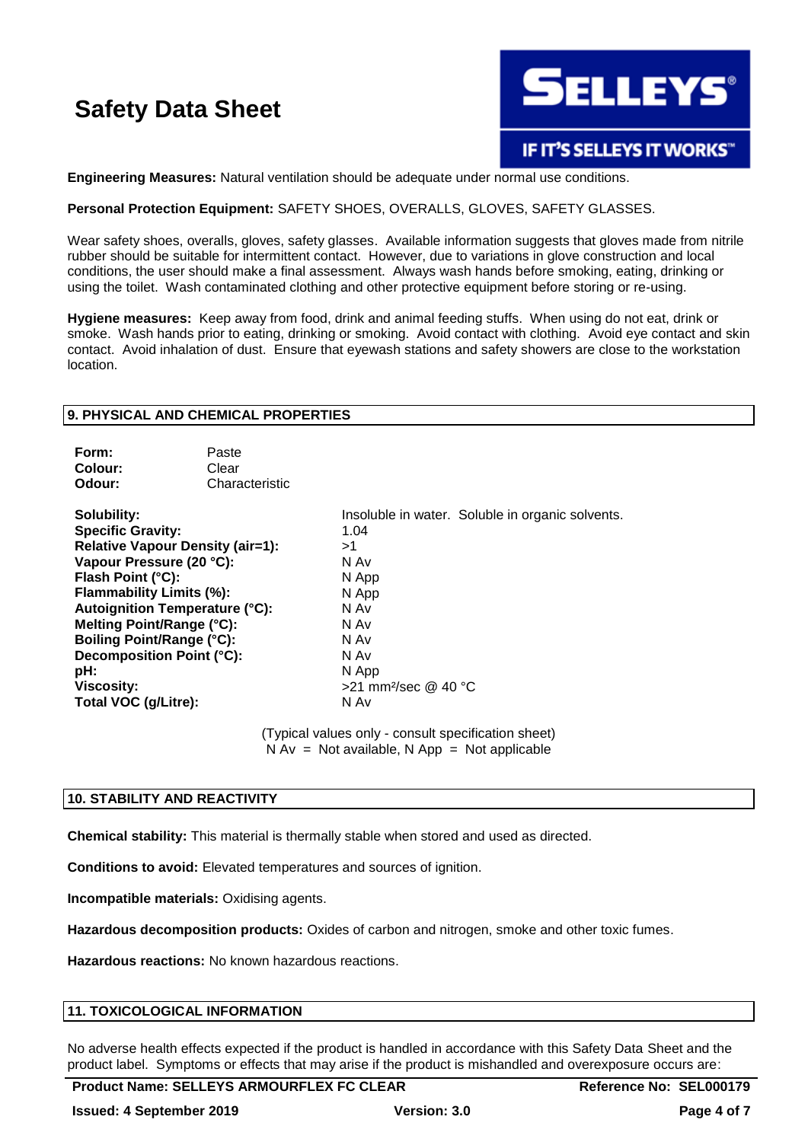

### **Engineering Measures:** Natural ventilation should be adequate under normal use conditions.

#### **Personal Protection Equipment:** SAFETY SHOES, OVERALLS, GLOVES, SAFETY GLASSES.

Wear safety shoes, overalls, gloves, safety glasses. Available information suggests that gloves made from nitrile rubber should be suitable for intermittent contact. However, due to variations in glove construction and local conditions, the user should make a final assessment. Always wash hands before smoking, eating, drinking or using the toilet. Wash contaminated clothing and other protective equipment before storing or re-using.

**Hygiene measures:** Keep away from food, drink and animal feeding stuffs. When using do not eat, drink or smoke. Wash hands prior to eating, drinking or smoking. Avoid contact with clothing. Avoid eye contact and skin contact. Avoid inhalation of dust. Ensure that eyewash stations and safety showers are close to the workstation location.

#### **9. PHYSICAL AND CHEMICAL PROPERTIES**

| Form:   | Paste          |
|---------|----------------|
| Colour: | Clear          |
| Odour:  | Characteristic |

**Specific Gravity:** 1.04 **Relative Vapour Density (air=1):**  $>1$ <br>**Vapour Pressure (20 °C):** N Av **Vapour Pressure (20 °C): Flash Point (°C):** N App **Flammability Limits (%):** N App **Autoignition Temperature (°C):** N Av **Melting Point/Range (°C):** N Av **Boiling Point/Range (°C):** N Av **Decomposition Point (°C):** N Av **pH:** N App **Viscosity:**  $>21$  mm<sup>2</sup>/sec @ 40 °C **Total VOC (g/Litre):** N Av

**Solubility:** Insoluble in water. Soluble in organic solvents.

(Typical values only - consult specification sheet)  $N Av = Not available, N App = Not applicable$ 

#### **10. STABILITY AND REACTIVITY**

**Chemical stability:** This material is thermally stable when stored and used as directed.

**Conditions to avoid:** Elevated temperatures and sources of ignition.

**Incompatible materials:** Oxidising agents.

**Hazardous decomposition products:** Oxides of carbon and nitrogen, smoke and other toxic fumes.

**Hazardous reactions:** No known hazardous reactions.

#### **11. TOXICOLOGICAL INFORMATION**

No adverse health effects expected if the product is handled in accordance with this Safety Data Sheet and the product label. Symptoms or effects that may arise if the product is mishandled and overexposure occurs are: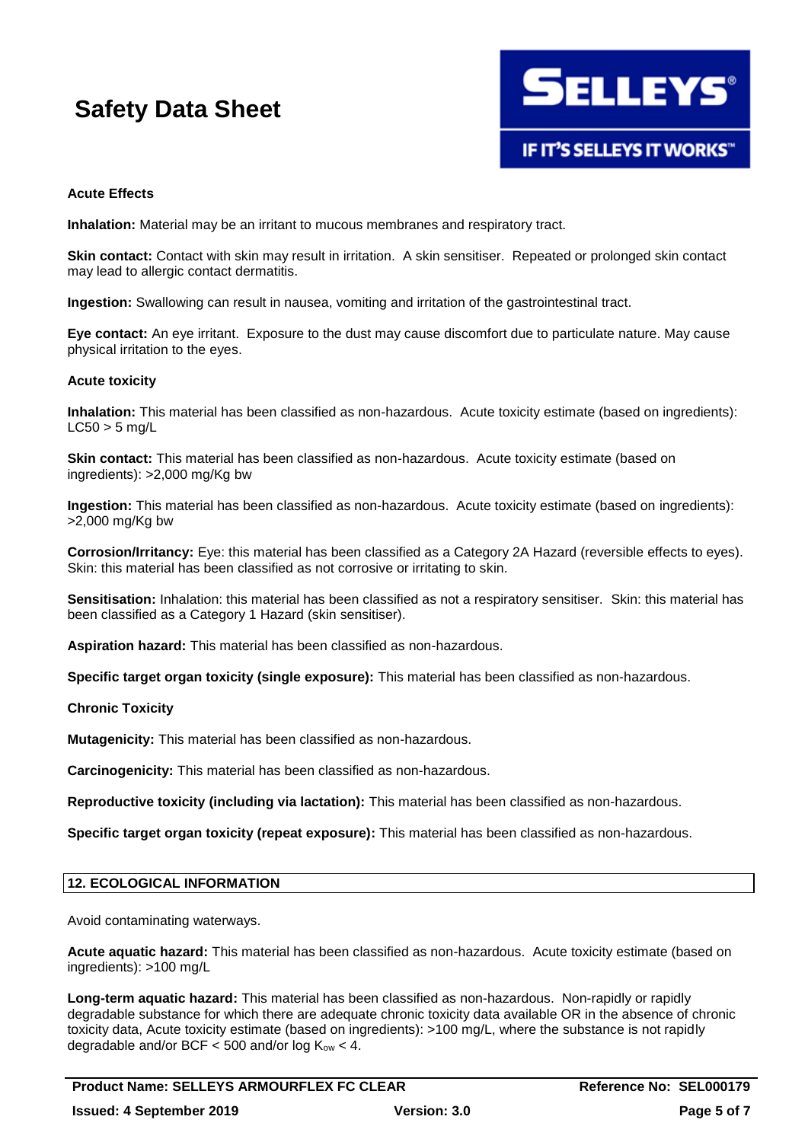

# **Acute Effects**

**Inhalation:** Material may be an irritant to mucous membranes and respiratory tract.

**Skin contact:** Contact with skin may result in irritation. A skin sensitiser. Repeated or prolonged skin contact may lead to allergic contact dermatitis.

**Ingestion:** Swallowing can result in nausea, vomiting and irritation of the gastrointestinal tract.

**Eye contact:** An eye irritant. Exposure to the dust may cause discomfort due to particulate nature. May cause physical irritation to the eyes.

#### **Acute toxicity**

**Inhalation:** This material has been classified as non-hazardous. Acute toxicity estimate (based on ingredients):  $LC50 > 5$  mg/L

**Skin contact:** This material has been classified as non-hazardous. Acute toxicity estimate (based on ingredients): >2,000 mg/Kg bw

**Ingestion:** This material has been classified as non-hazardous. Acute toxicity estimate (based on ingredients): >2,000 mg/Kg bw

**Corrosion/Irritancy:** Eye: this material has been classified as a Category 2A Hazard (reversible effects to eyes). Skin: this material has been classified as not corrosive or irritating to skin.

**Sensitisation:** Inhalation: this material has been classified as not a respiratory sensitiser. Skin: this material has been classified as a Category 1 Hazard (skin sensitiser).

**Aspiration hazard:** This material has been classified as non-hazardous.

**Specific target organ toxicity (single exposure):** This material has been classified as non-hazardous.

#### **Chronic Toxicity**

**Mutagenicity:** This material has been classified as non-hazardous.

**Carcinogenicity:** This material has been classified as non-hazardous.

**Reproductive toxicity (including via lactation):** This material has been classified as non-hazardous.

**Specific target organ toxicity (repeat exposure):** This material has been classified as non-hazardous.

# **12. ECOLOGICAL INFORMATION**

Avoid contaminating waterways.

**Acute aquatic hazard:** This material has been classified as non-hazardous. Acute toxicity estimate (based on ingredients): >100 mg/L

**Long-term aquatic hazard:** This material has been classified as non-hazardous. Non-rapidly or rapidly degradable substance for which there are adequate chronic toxicity data available OR in the absence of chronic toxicity data, Acute toxicity estimate (based on ingredients): >100 mg/L, where the substance is not rapidly degradable and/or BCF < 500 and/or  $log K<sub>ow</sub>$  < 4.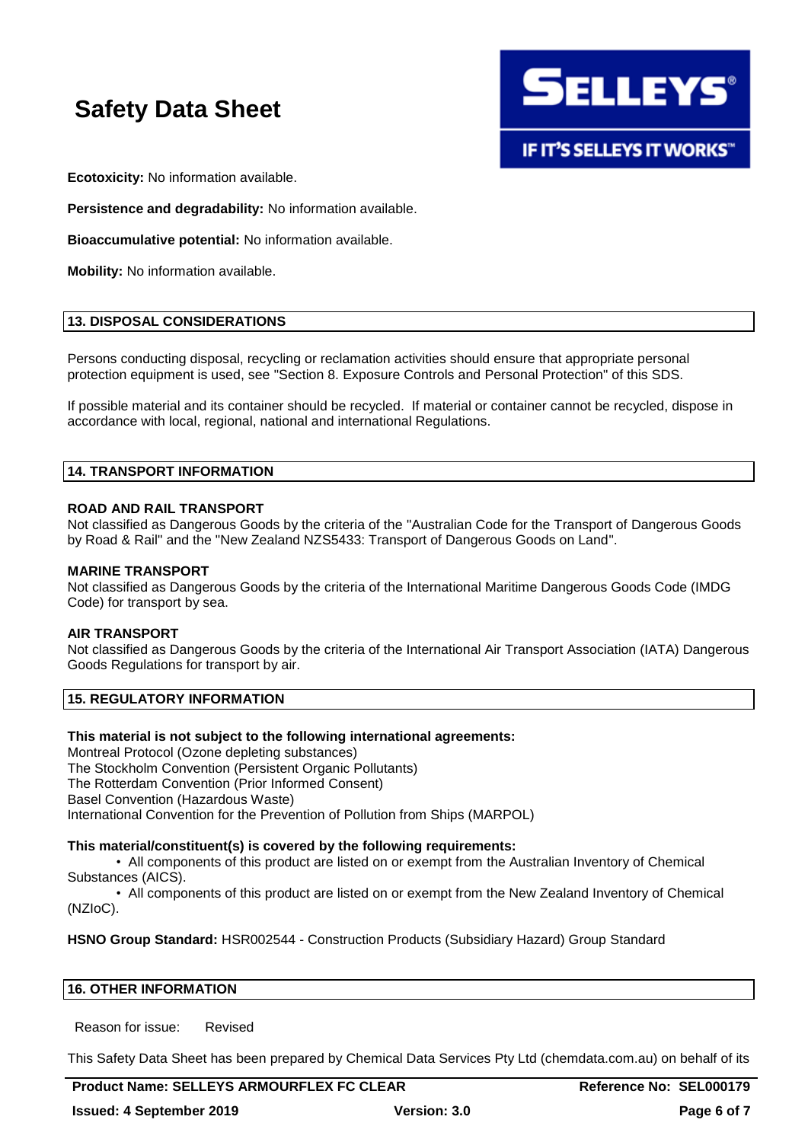

**Ecotoxicity:** No information available.

**Persistence and degradability:** No information available.

**Bioaccumulative potential:** No information available.

**Mobility:** No information available.

### **13. DISPOSAL CONSIDERATIONS**

Persons conducting disposal, recycling or reclamation activities should ensure that appropriate personal protection equipment is used, see "Section 8. Exposure Controls and Personal Protection" of this SDS.

If possible material and its container should be recycled. If material or container cannot be recycled, dispose in accordance with local, regional, national and international Regulations.

# **14. TRANSPORT INFORMATION**

#### **ROAD AND RAIL TRANSPORT**

Not classified as Dangerous Goods by the criteria of the "Australian Code for the Transport of Dangerous Goods by Road & Rail" and the "New Zealand NZS5433: Transport of Dangerous Goods on Land".

#### **MARINE TRANSPORT**

Not classified as Dangerous Goods by the criteria of the International Maritime Dangerous Goods Code (IMDG Code) for transport by sea.

#### **AIR TRANSPORT**

Not classified as Dangerous Goods by the criteria of the International Air Transport Association (IATA) Dangerous Goods Regulations for transport by air.

### **15. REGULATORY INFORMATION**

#### **This material is not subject to the following international agreements:**

Montreal Protocol (Ozone depleting substances) The Stockholm Convention (Persistent Organic Pollutants) The Rotterdam Convention (Prior Informed Consent) Basel Convention (Hazardous Waste) International Convention for the Prevention of Pollution from Ships (MARPOL)

#### **This material/constituent(s) is covered by the following requirements:**

• All components of this product are listed on or exempt from the Australian Inventory of Chemical Substances (AICS).

• All components of this product are listed on or exempt from the New Zealand Inventory of Chemical (NZIoC).

**HSNO Group Standard:** HSR002544 - Construction Products (Subsidiary Hazard) Group Standard

#### **16. OTHER INFORMATION**

Reason for issue: Revised

This Safety Data Sheet has been prepared by Chemical Data Services Pty Ltd (chemdata.com.au) on behalf of its